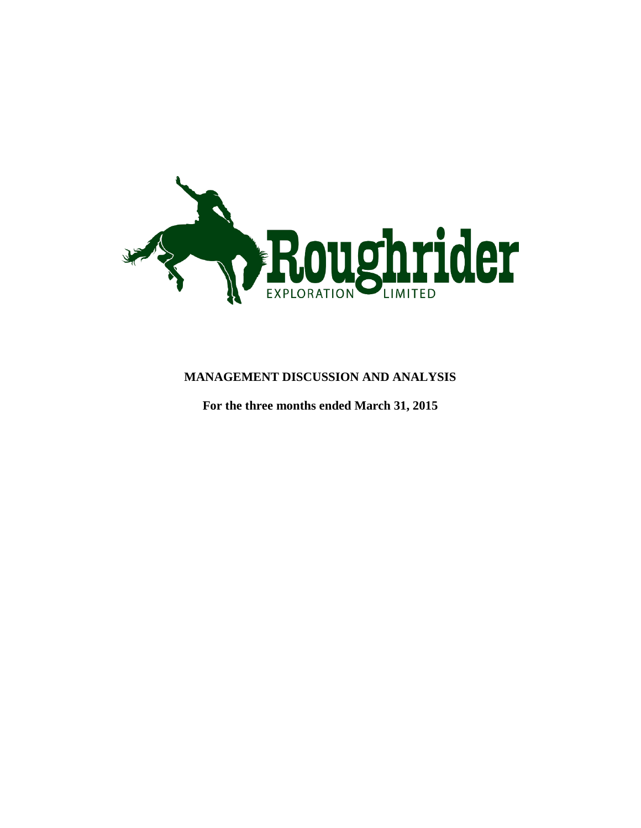

# **MANAGEMENT DISCUSSION AND ANALYSIS**

**For the three months ended March 31, 2015**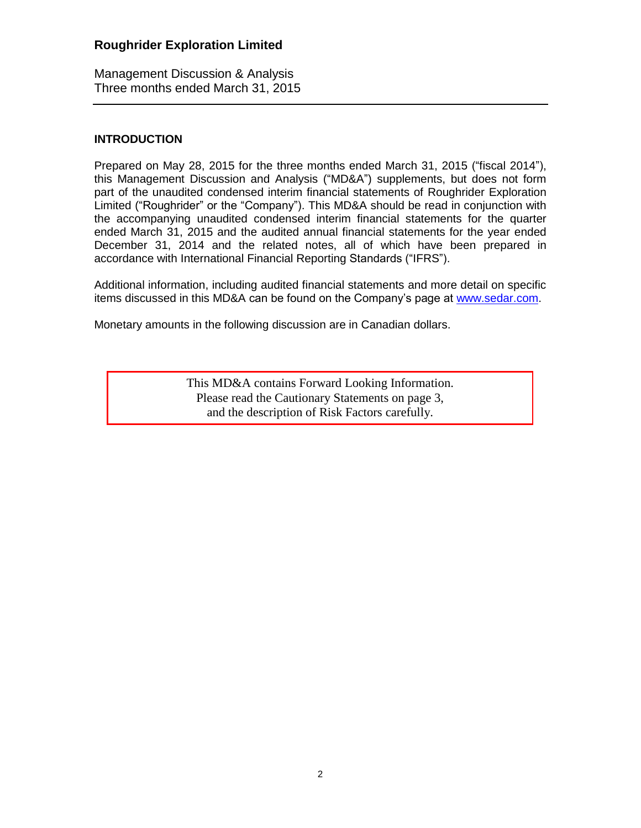Management Discussion & Analysis Three months ended March 31, 2015

### **INTRODUCTION**

Prepared on May 28, 2015 for the three months ended March 31, 2015 ("fiscal 2014"), this Management Discussion and Analysis ("MD&A") supplements, but does not form part of the unaudited condensed interim financial statements of Roughrider Exploration Limited ("Roughrider" or the "Company"). This MD&A should be read in conjunction with the accompanying unaudited condensed interim financial statements for the quarter ended March 31, 2015 and the audited annual financial statements for the year ended December 31, 2014 and the related notes, all of which have been prepared in accordance with International Financial Reporting Standards ("IFRS").

Additional information, including audited financial statements and more detail on specific items discussed in this MD&A can be found on the Company's page at [www.sedar.com.](http://www.sedar.com/)

Monetary amounts in the following discussion are in Canadian dollars.

This MD&A contains Forward Looking Information. Please read the Cautionary Statements on page 3, and the description of Risk Factors carefully.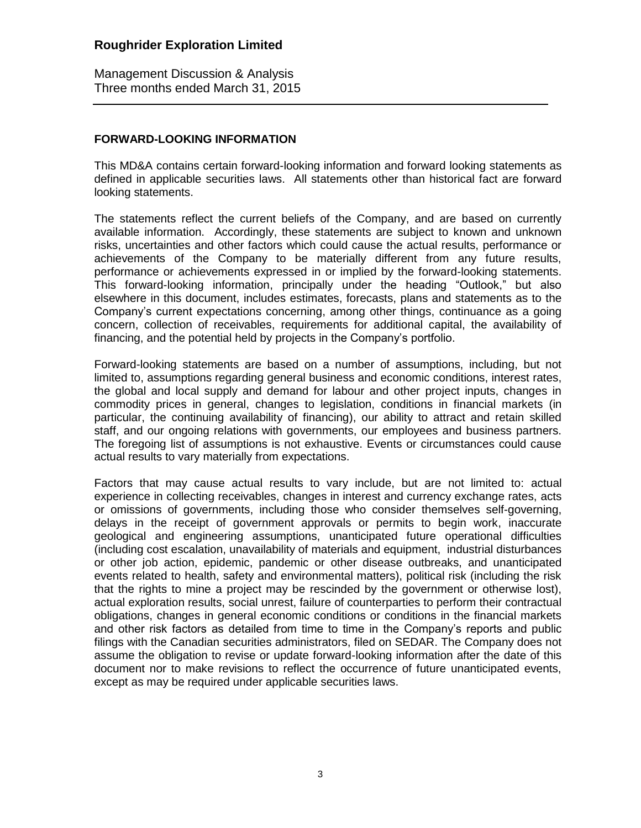Management Discussion & Analysis Three months ended March 31, 2015

#### **FORWARD-LOOKING INFORMATION**

This MD&A contains certain forward-looking information and forward looking statements as defined in applicable securities laws. All statements other than historical fact are forward looking statements.

The statements reflect the current beliefs of the Company, and are based on currently available information. Accordingly, these statements are subject to known and unknown risks, uncertainties and other factors which could cause the actual results, performance or achievements of the Company to be materially different from any future results, performance or achievements expressed in or implied by the forward-looking statements. This forward-looking information, principally under the heading "Outlook," but also elsewhere in this document, includes estimates, forecasts, plans and statements as to the Company's current expectations concerning, among other things, continuance as a going concern, collection of receivables, requirements for additional capital, the availability of financing, and the potential held by projects in the Company's portfolio.

Forward-looking statements are based on a number of assumptions, including, but not limited to, assumptions regarding general business and economic conditions, interest rates, the global and local supply and demand for labour and other project inputs, changes in commodity prices in general, changes to legislation, conditions in financial markets (in particular, the continuing availability of financing), our ability to attract and retain skilled staff, and our ongoing relations with governments, our employees and business partners. The foregoing list of assumptions is not exhaustive. Events or circumstances could cause actual results to vary materially from expectations.

Factors that may cause actual results to vary include, but are not limited to: actual experience in collecting receivables, changes in interest and currency exchange rates, acts or omissions of governments, including those who consider themselves self-governing, delays in the receipt of government approvals or permits to begin work, inaccurate geological and engineering assumptions, unanticipated future operational difficulties (including cost escalation, unavailability of materials and equipment, industrial disturbances or other job action, epidemic, pandemic or other disease outbreaks, and unanticipated events related to health, safety and environmental matters), political risk (including the risk that the rights to mine a project may be rescinded by the government or otherwise lost), actual exploration results, social unrest, failure of counterparties to perform their contractual obligations, changes in general economic conditions or conditions in the financial markets and other risk factors as detailed from time to time in the Company's reports and public filings with the Canadian securities administrators, filed on SEDAR. The Company does not assume the obligation to revise or update forward-looking information after the date of this document nor to make revisions to reflect the occurrence of future unanticipated events, except as may be required under applicable securities laws.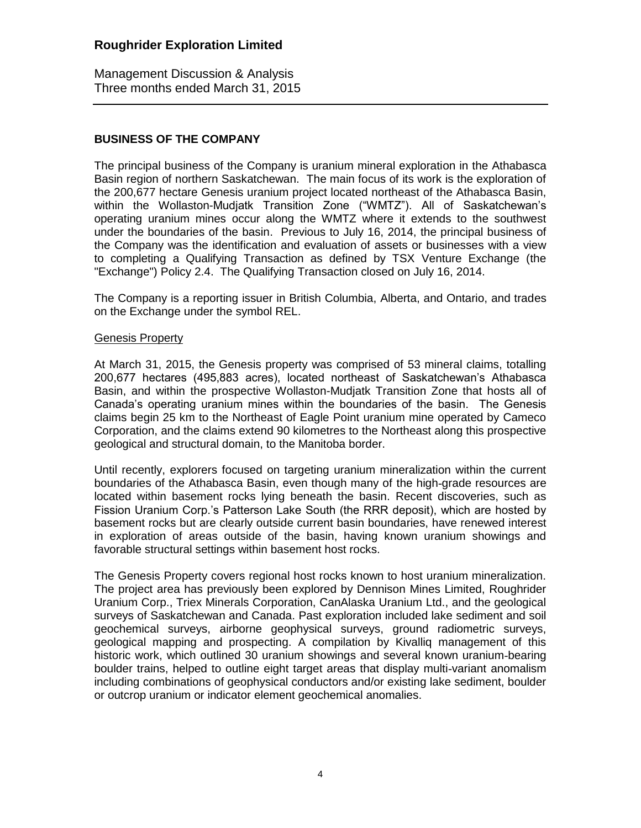Management Discussion & Analysis Three months ended March 31, 2015

## **BUSINESS OF THE COMPANY**

The principal business of the Company is uranium mineral exploration in the Athabasca Basin region of northern Saskatchewan. The main focus of its work is the exploration of the 200,677 hectare Genesis uranium project located northeast of the Athabasca Basin, within the Wollaston-Mudjatk Transition Zone ("WMTZ"). All of Saskatchewan's operating uranium mines occur along the WMTZ where it extends to the southwest under the boundaries of the basin. Previous to July 16, 2014, the principal business of the Company was the identification and evaluation of assets or businesses with a view to completing a Qualifying Transaction as defined by TSX Venture Exchange (the "Exchange") Policy 2.4. The Qualifying Transaction closed on July 16, 2014.

The Company is a reporting issuer in British Columbia, Alberta, and Ontario, and trades on the Exchange under the symbol REL.

#### Genesis Property

At March 31, 2015, the Genesis property was comprised of 53 mineral claims, totalling 200,677 hectares (495,883 acres), located northeast of Saskatchewan's Athabasca Basin, and within the prospective Wollaston-Mudjatk Transition Zone that hosts all of Canada's operating uranium mines within the boundaries of the basin. The Genesis claims begin 25 km to the Northeast of Eagle Point uranium mine operated by Cameco Corporation, and the claims extend 90 kilometres to the Northeast along this prospective geological and structural domain, to the Manitoba border.

Until recently, explorers focused on targeting uranium mineralization within the current boundaries of the Athabasca Basin, even though many of the high-grade resources are located within basement rocks lying beneath the basin. Recent discoveries, such as Fission Uranium Corp.'s Patterson Lake South (the RRR deposit), which are hosted by basement rocks but are clearly outside current basin boundaries, have renewed interest in exploration of areas outside of the basin, having known uranium showings and favorable structural settings within basement host rocks.

The Genesis Property covers regional host rocks known to host uranium mineralization. The project area has previously been explored by Dennison Mines Limited, Roughrider Uranium Corp., Triex Minerals Corporation, CanAlaska Uranium Ltd., and the geological surveys of Saskatchewan and Canada. Past exploration included lake sediment and soil geochemical surveys, airborne geophysical surveys, ground radiometric surveys, geological mapping and prospecting. A compilation by Kivalliq management of this historic work, which outlined 30 uranium showings and several known uranium-bearing boulder trains, helped to outline eight target areas that display multi-variant anomalism including combinations of geophysical conductors and/or existing lake sediment, boulder or outcrop uranium or indicator element geochemical anomalies.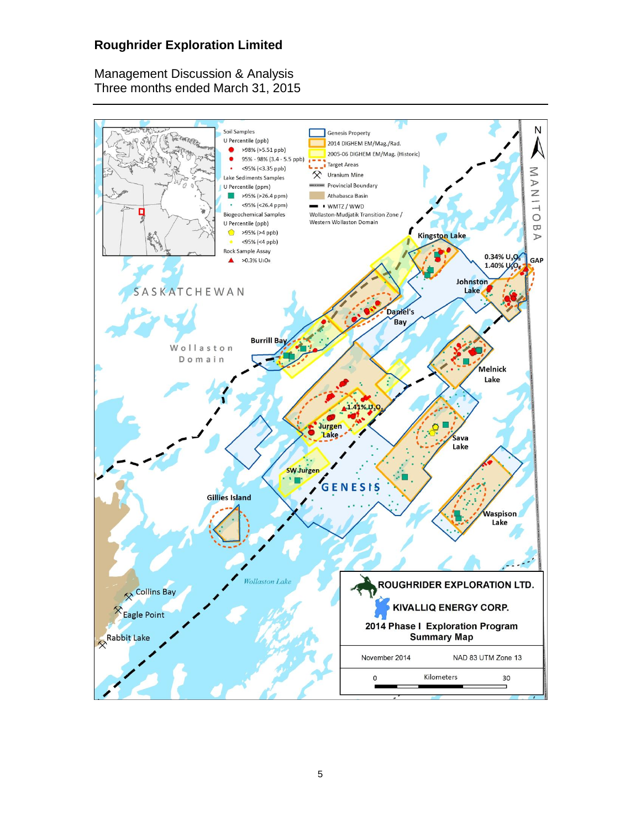Management Discussion & Analysis Three months ended March 31, 2015

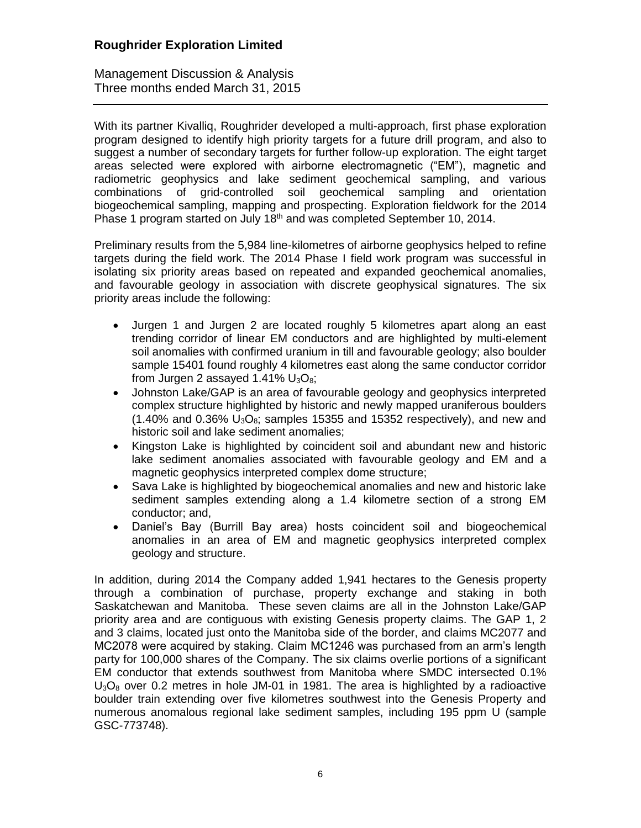Management Discussion & Analysis Three months ended March 31, 2015

With its partner Kivalliq, Roughrider developed a multi-approach, first phase exploration program designed to identify high priority targets for a future drill program, and also to suggest a number of secondary targets for further follow-up exploration. The eight target areas selected were explored with airborne electromagnetic ("EM"), magnetic and radiometric geophysics and lake sediment geochemical sampling, and various combinations of grid-controlled soil geochemical sampling and orientation biogeochemical sampling, mapping and prospecting. Exploration fieldwork for the 2014 Phase 1 program started on July 18<sup>th</sup> and was completed September 10, 2014.

Preliminary results from the 5,984 line-kilometres of airborne geophysics helped to refine targets during the field work. The 2014 Phase I field work program was successful in isolating six priority areas based on repeated and expanded geochemical anomalies, and favourable geology in association with discrete geophysical signatures. The six priority areas include the following:

- Jurgen 1 and Jurgen 2 are located roughly 5 kilometres apart along an east trending corridor of linear EM conductors and are highlighted by multi-element soil anomalies with confirmed uranium in till and favourable geology; also boulder sample 15401 found roughly 4 kilometres east along the same conductor corridor from Jurgen 2 assayed 1.41%  $U_3O_8$ ;
- Johnston Lake/GAP is an area of favourable geology and geophysics interpreted complex structure highlighted by historic and newly mapped uraniferous boulders  $(1.40\%$  and 0.36%  $U_3O_8$ ; samples 15355 and 15352 respectively), and new and historic soil and lake sediment anomalies;
- Kingston Lake is highlighted by coincident soil and abundant new and historic lake sediment anomalies associated with favourable geology and EM and a magnetic geophysics interpreted complex dome structure;
- Sava Lake is highlighted by biogeochemical anomalies and new and historic lake sediment samples extending along a 1.4 kilometre section of a strong EM conductor; and,
- Daniel's Bay (Burrill Bay area) hosts coincident soil and biogeochemical anomalies in an area of EM and magnetic geophysics interpreted complex geology and structure.

In addition, during 2014 the Company added 1,941 hectares to the Genesis property through a combination of purchase, property exchange and staking in both Saskatchewan and Manitoba. These seven claims are all in the Johnston Lake/GAP priority area and are contiguous with existing Genesis property claims. The GAP 1, 2 and 3 claims, located just onto the Manitoba side of the border, and claims MC2077 and MC2078 were acquired by staking. Claim MC1246 was purchased from an arm's length party for 100,000 shares of the Company. The six claims overlie portions of a significant EM conductor that extends southwest from Manitoba where SMDC intersected 0.1%  $U_3O_8$  over 0.2 metres in hole JM-01 in 1981. The area is highlighted by a radioactive boulder train extending over five kilometres southwest into the Genesis Property and numerous anomalous regional lake sediment samples, including 195 ppm U (sample GSC-773748).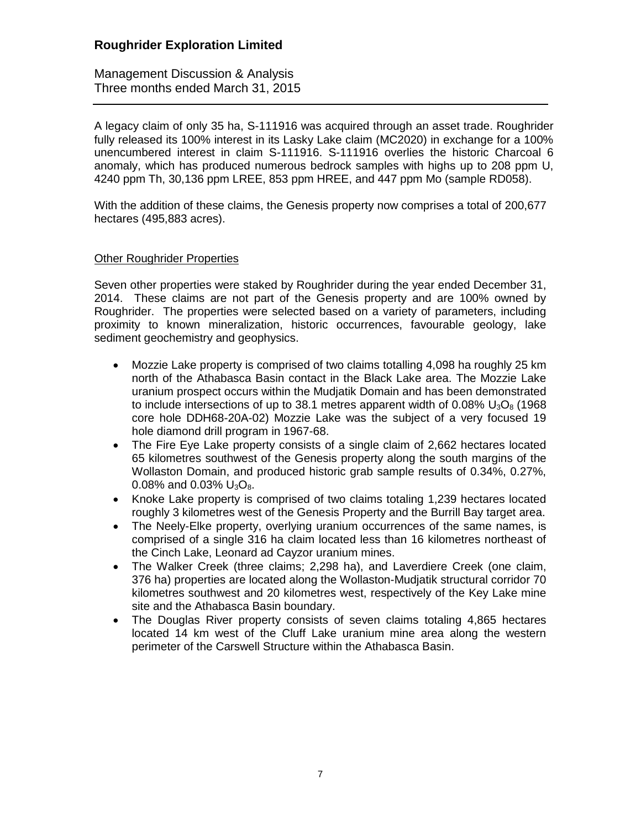Management Discussion & Analysis Three months ended March 31, 2015

A legacy claim of only 35 ha, S-111916 was acquired through an asset trade. Roughrider fully released its 100% interest in its Lasky Lake claim (MC2020) in exchange for a 100% unencumbered interest in claim S-111916. S-111916 overlies the historic Charcoal 6 anomaly, which has produced numerous bedrock samples with highs up to 208 ppm U, 4240 ppm Th, 30,136 ppm LREE, 853 ppm HREE, and 447 ppm Mo (sample RD058).

With the addition of these claims, the Genesis property now comprises a total of 200,677 hectares (495,883 acres).

### Other Roughrider Properties

Seven other properties were staked by Roughrider during the year ended December 31, 2014. These claims are not part of the Genesis property and are 100% owned by Roughrider. The properties were selected based on a variety of parameters, including proximity to known mineralization, historic occurrences, favourable geology, lake sediment geochemistry and geophysics.

- Mozzie Lake property is comprised of two claims totalling 4,098 ha roughly 25 km north of the Athabasca Basin contact in the Black Lake area. The Mozzie Lake uranium prospect occurs within the Mudjatik Domain and has been demonstrated to include intersections of up to 38.1 metres apparent width of 0.08%  $U_3O_8$  (1968) core hole DDH68-20A-02) Mozzie Lake was the subject of a very focused 19 hole diamond drill program in 1967-68.
- The Fire Eye Lake property consists of a single claim of 2,662 hectares located 65 kilometres southwest of the Genesis property along the south margins of the Wollaston Domain, and produced historic grab sample results of 0.34%, 0.27%, 0.08% and 0.03%  $U_3O_8$ .
- Knoke Lake property is comprised of two claims totaling 1,239 hectares located roughly 3 kilometres west of the Genesis Property and the Burrill Bay target area.
- The Neely-Elke property, overlying uranium occurrences of the same names, is comprised of a single 316 ha claim located less than 16 kilometres northeast of the Cinch Lake, Leonard ad Cayzor uranium mines.
- The Walker Creek (three claims; 2,298 ha), and Laverdiere Creek (one claim, 376 ha) properties are located along the Wollaston-Mudjatik structural corridor 70 kilometres southwest and 20 kilometres west, respectively of the Key Lake mine site and the Athabasca Basin boundary.
- The Douglas River property consists of seven claims totaling 4,865 hectares located 14 km west of the Cluff Lake uranium mine area along the western perimeter of the Carswell Structure within the Athabasca Basin.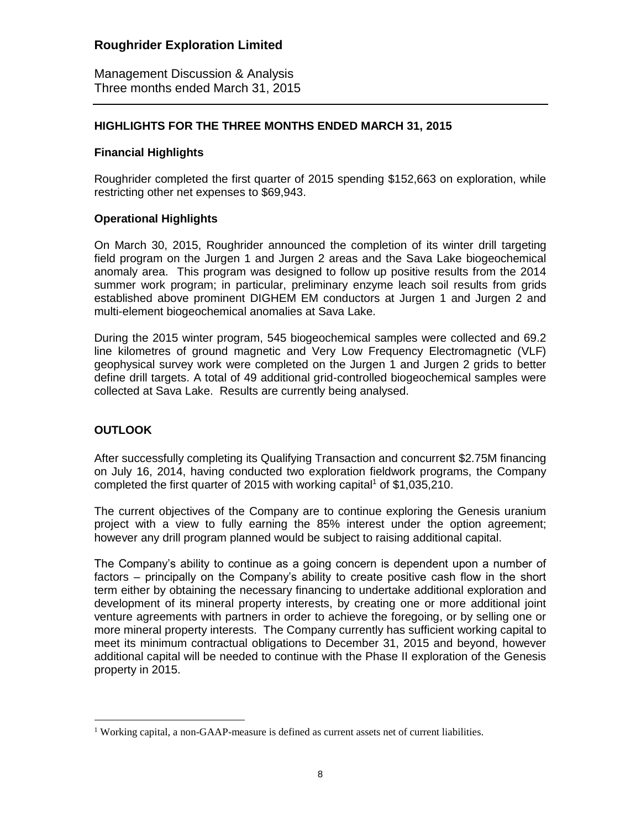Management Discussion & Analysis Three months ended March 31, 2015

### **HIGHLIGHTS FOR THE THREE MONTHS ENDED MARCH 31, 2015**

### **Financial Highlights**

Roughrider completed the first quarter of 2015 spending \$152,663 on exploration, while restricting other net expenses to \$69,943.

### **Operational Highlights**

On March 30, 2015, Roughrider announced the completion of its winter drill targeting field program on the Jurgen 1 and Jurgen 2 areas and the Sava Lake biogeochemical anomaly area. This program was designed to follow up positive results from the 2014 summer work program; in particular, preliminary enzyme leach soil results from grids established above prominent DIGHEM EM conductors at Jurgen 1 and Jurgen 2 and multi-element biogeochemical anomalies at Sava Lake.

During the 2015 winter program, 545 biogeochemical samples were collected and 69.2 line kilometres of ground magnetic and Very Low Frequency Electromagnetic (VLF) geophysical survey work were completed on the Jurgen 1 and Jurgen 2 grids to better define drill targets. A total of 49 additional grid-controlled biogeochemical samples were collected at Sava Lake. Results are currently being analysed.

## **OUTLOOK**

 $\overline{a}$ 

After successfully completing its Qualifying Transaction and concurrent \$2.75M financing on July 16, 2014, having conducted two exploration fieldwork programs, the Company completed the first quarter of 2015 with working capital<sup>1</sup> of \$1,035,210.

The current objectives of the Company are to continue exploring the Genesis uranium project with a view to fully earning the 85% interest under the option agreement; however any drill program planned would be subject to raising additional capital.

The Company's ability to continue as a going concern is dependent upon a number of factors – principally on the Company's ability to create positive cash flow in the short term either by obtaining the necessary financing to undertake additional exploration and development of its mineral property interests, by creating one or more additional joint venture agreements with partners in order to achieve the foregoing, or by selling one or more mineral property interests. The Company currently has sufficient working capital to meet its minimum contractual obligations to December 31, 2015 and beyond, however additional capital will be needed to continue with the Phase II exploration of the Genesis property in 2015.

<sup>&</sup>lt;sup>1</sup> Working capital, a non-GAAP-measure is defined as current assets net of current liabilities.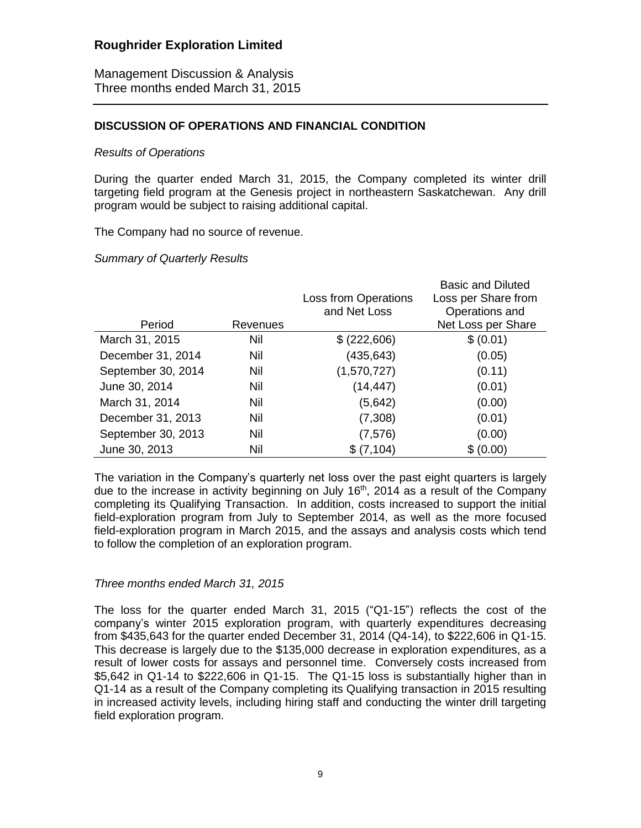Management Discussion & Analysis Three months ended March 31, 2015

#### **DISCUSSION OF OPERATIONS AND FINANCIAL CONDITION**

#### *Results of Operations*

During the quarter ended March 31, 2015, the Company completed its winter drill targeting field program at the Genesis project in northeastern Saskatchewan. Any drill program would be subject to raising additional capital.

The Company had no source of revenue.

#### *Summary of Quarterly Results*

|                    |          |                             | <b>Basic and Diluted</b> |
|--------------------|----------|-----------------------------|--------------------------|
|                    |          | <b>Loss from Operations</b> | Loss per Share from      |
|                    |          | and Net Loss                | Operations and           |
| Period             | Revenues |                             | Net Loss per Share       |
| March 31, 2015     | Nil      | \$ (222,606)                | \$ (0.01)                |
| December 31, 2014  | Nil      | (435, 643)                  | (0.05)                   |
| September 30, 2014 | Nil      | (1,570,727)                 | (0.11)                   |
| June 30, 2014      | Nil      | (14, 447)                   | (0.01)                   |
| March 31, 2014     | Nil      | (5,642)                     | (0.00)                   |
| December 31, 2013  | Nil      | (7,308)                     | (0.01)                   |
| September 30, 2013 | Nil      | (7, 576)                    | (0.00)                   |
| June 30, 2013      | Nil      | \$(7,104)                   | \$ (0.00)                |

The variation in the Company's quarterly net loss over the past eight quarters is largely due to the increase in activity beginning on July 16<sup>th</sup>, 2014 as a result of the Company completing its Qualifying Transaction. In addition, costs increased to support the initial field-exploration program from July to September 2014, as well as the more focused field-exploration program in March 2015, and the assays and analysis costs which tend to follow the completion of an exploration program.

#### *Three months ended March 31, 2015*

The loss for the quarter ended March 31, 2015 ("Q1-15") reflects the cost of the company's winter 2015 exploration program, with quarterly expenditures decreasing from \$435,643 for the quarter ended December 31, 2014 (Q4-14), to \$222,606 in Q1-15. This decrease is largely due to the \$135,000 decrease in exploration expenditures, as a result of lower costs for assays and personnel time. Conversely costs increased from \$5,642 in Q1-14 to \$222,606 in Q1-15. The Q1-15 loss is substantially higher than in Q1-14 as a result of the Company completing its Qualifying transaction in 2015 resulting in increased activity levels, including hiring staff and conducting the winter drill targeting field exploration program.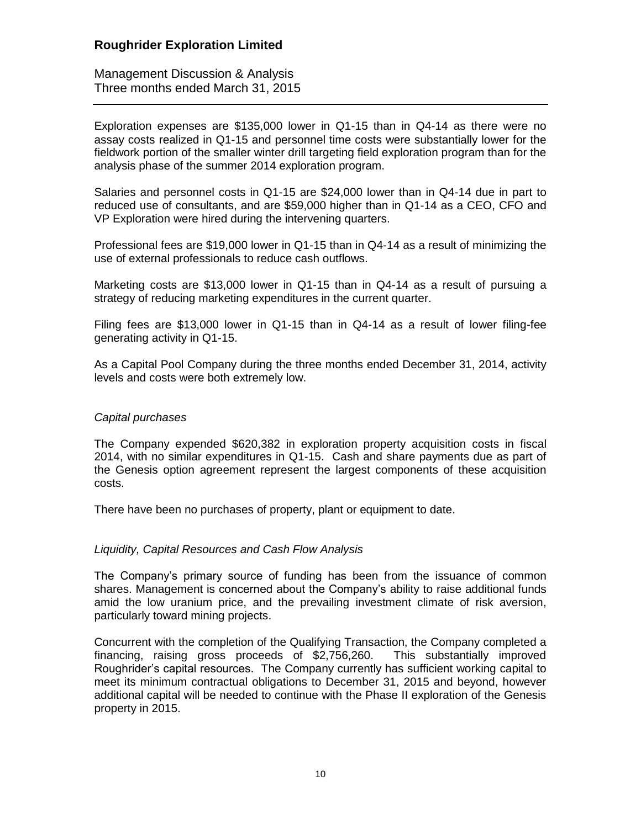Management Discussion & Analysis Three months ended March 31, 2015

Exploration expenses are \$135,000 lower in Q1-15 than in Q4-14 as there were no assay costs realized in Q1-15 and personnel time costs were substantially lower for the fieldwork portion of the smaller winter drill targeting field exploration program than for the analysis phase of the summer 2014 exploration program.

Salaries and personnel costs in Q1-15 are \$24,000 lower than in Q4-14 due in part to reduced use of consultants, and are \$59,000 higher than in Q1-14 as a CEO, CFO and VP Exploration were hired during the intervening quarters.

Professional fees are \$19,000 lower in Q1-15 than in Q4-14 as a result of minimizing the use of external professionals to reduce cash outflows.

Marketing costs are \$13,000 lower in Q1-15 than in Q4-14 as a result of pursuing a strategy of reducing marketing expenditures in the current quarter.

Filing fees are \$13,000 lower in Q1-15 than in Q4-14 as a result of lower filing-fee generating activity in Q1-15.

As a Capital Pool Company during the three months ended December 31, 2014, activity levels and costs were both extremely low.

#### *Capital purchases*

The Company expended \$620,382 in exploration property acquisition costs in fiscal 2014, with no similar expenditures in Q1-15. Cash and share payments due as part of the Genesis option agreement represent the largest components of these acquisition costs.

There have been no purchases of property, plant or equipment to date.

#### *Liquidity, Capital Resources and Cash Flow Analysis*

The Company's primary source of funding has been from the issuance of common shares. Management is concerned about the Company's ability to raise additional funds amid the low uranium price, and the prevailing investment climate of risk aversion, particularly toward mining projects.

Concurrent with the completion of the Qualifying Transaction, the Company completed a financing, raising gross proceeds of \$2,756,260. This substantially improved Roughrider's capital resources. The Company currently has sufficient working capital to meet its minimum contractual obligations to December 31, 2015 and beyond, however additional capital will be needed to continue with the Phase II exploration of the Genesis property in 2015.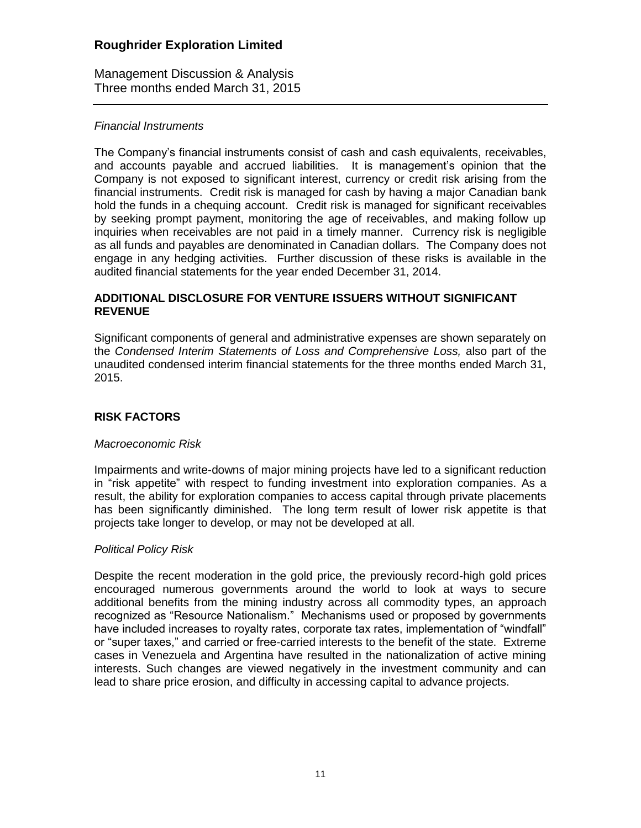Management Discussion & Analysis Three months ended March 31, 2015

#### *Financial Instruments*

The Company's financial instruments consist of cash and cash equivalents, receivables, and accounts payable and accrued liabilities. It is management's opinion that the Company is not exposed to significant interest, currency or credit risk arising from the financial instruments. Credit risk is managed for cash by having a major Canadian bank hold the funds in a chequing account. Credit risk is managed for significant receivables by seeking prompt payment, monitoring the age of receivables, and making follow up inquiries when receivables are not paid in a timely manner. Currency risk is negligible as all funds and payables are denominated in Canadian dollars. The Company does not engage in any hedging activities. Further discussion of these risks is available in the audited financial statements for the year ended December 31, 2014.

#### **ADDITIONAL DISCLOSURE FOR VENTURE ISSUERS WITHOUT SIGNIFICANT REVENUE**

Significant components of general and administrative expenses are shown separately on the *Condensed Interim Statements of Loss and Comprehensive Loss,* also part of the unaudited condensed interim financial statements for the three months ended March 31, 2015.

# **RISK FACTORS**

#### *Macroeconomic Risk*

Impairments and write-downs of major mining projects have led to a significant reduction in "risk appetite" with respect to funding investment into exploration companies. As a result, the ability for exploration companies to access capital through private placements has been significantly diminished. The long term result of lower risk appetite is that projects take longer to develop, or may not be developed at all.

#### *Political Policy Risk*

Despite the recent moderation in the gold price, the previously record-high gold prices encouraged numerous governments around the world to look at ways to secure additional benefits from the mining industry across all commodity types, an approach recognized as "Resource Nationalism." Mechanisms used or proposed by governments have included increases to royalty rates, corporate tax rates, implementation of "windfall" or "super taxes," and carried or free-carried interests to the benefit of the state. Extreme cases in Venezuela and Argentina have resulted in the nationalization of active mining interests. Such changes are viewed negatively in the investment community and can lead to share price erosion, and difficulty in accessing capital to advance projects.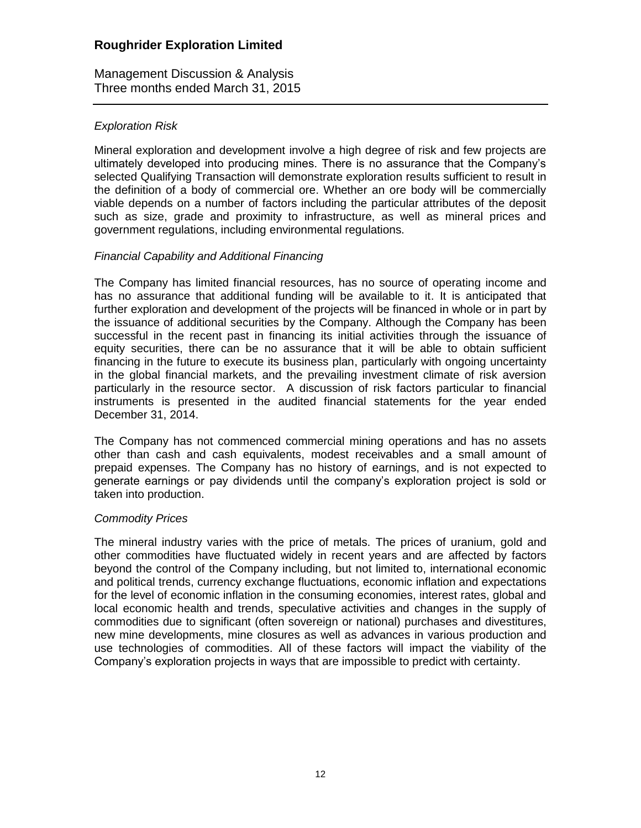Management Discussion & Analysis Three months ended March 31, 2015

### *Exploration Risk*

Mineral exploration and development involve a high degree of risk and few projects are ultimately developed into producing mines. There is no assurance that the Company's selected Qualifying Transaction will demonstrate exploration results sufficient to result in the definition of a body of commercial ore. Whether an ore body will be commercially viable depends on a number of factors including the particular attributes of the deposit such as size, grade and proximity to infrastructure, as well as mineral prices and government regulations, including environmental regulations.

#### *Financial Capability and Additional Financing*

The Company has limited financial resources, has no source of operating income and has no assurance that additional funding will be available to it. It is anticipated that further exploration and development of the projects will be financed in whole or in part by the issuance of additional securities by the Company. Although the Company has been successful in the recent past in financing its initial activities through the issuance of equity securities, there can be no assurance that it will be able to obtain sufficient financing in the future to execute its business plan, particularly with ongoing uncertainty in the global financial markets, and the prevailing investment climate of risk aversion particularly in the resource sector. A discussion of risk factors particular to financial instruments is presented in the audited financial statements for the year ended December 31, 2014.

The Company has not commenced commercial mining operations and has no assets other than cash and cash equivalents, modest receivables and a small amount of prepaid expenses. The Company has no history of earnings, and is not expected to generate earnings or pay dividends until the company's exploration project is sold or taken into production.

#### *Commodity Prices*

The mineral industry varies with the price of metals. The prices of uranium, gold and other commodities have fluctuated widely in recent years and are affected by factors beyond the control of the Company including, but not limited to, international economic and political trends, currency exchange fluctuations, economic inflation and expectations for the level of economic inflation in the consuming economies, interest rates, global and local economic health and trends, speculative activities and changes in the supply of commodities due to significant (often sovereign or national) purchases and divestitures, new mine developments, mine closures as well as advances in various production and use technologies of commodities. All of these factors will impact the viability of the Company's exploration projects in ways that are impossible to predict with certainty.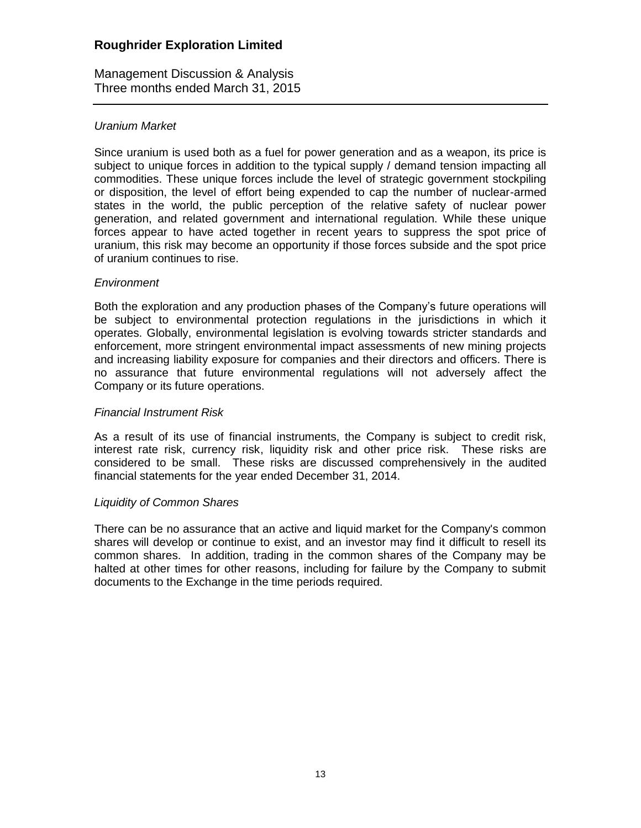Management Discussion & Analysis Three months ended March 31, 2015

#### *Uranium Market*

Since uranium is used both as a fuel for power generation and as a weapon, its price is subject to unique forces in addition to the typical supply / demand tension impacting all commodities. These unique forces include the level of strategic government stockpiling or disposition, the level of effort being expended to cap the number of nuclear-armed states in the world, the public perception of the relative safety of nuclear power generation, and related government and international regulation. While these unique forces appear to have acted together in recent years to suppress the spot price of uranium, this risk may become an opportunity if those forces subside and the spot price of uranium continues to rise.

#### *Environment*

Both the exploration and any production phases of the Company's future operations will be subject to environmental protection regulations in the jurisdictions in which it operates. Globally, environmental legislation is evolving towards stricter standards and enforcement, more stringent environmental impact assessments of new mining projects and increasing liability exposure for companies and their directors and officers. There is no assurance that future environmental regulations will not adversely affect the Company or its future operations.

#### *Financial Instrument Risk*

As a result of its use of financial instruments, the Company is subject to credit risk, interest rate risk, currency risk, liquidity risk and other price risk. These risks are considered to be small. These risks are discussed comprehensively in the audited financial statements for the year ended December 31, 2014.

#### *Liquidity of Common Shares*

There can be no assurance that an active and liquid market for the Company's common shares will develop or continue to exist, and an investor may find it difficult to resell its common shares. In addition, trading in the common shares of the Company may be halted at other times for other reasons, including for failure by the Company to submit documents to the Exchange in the time periods required.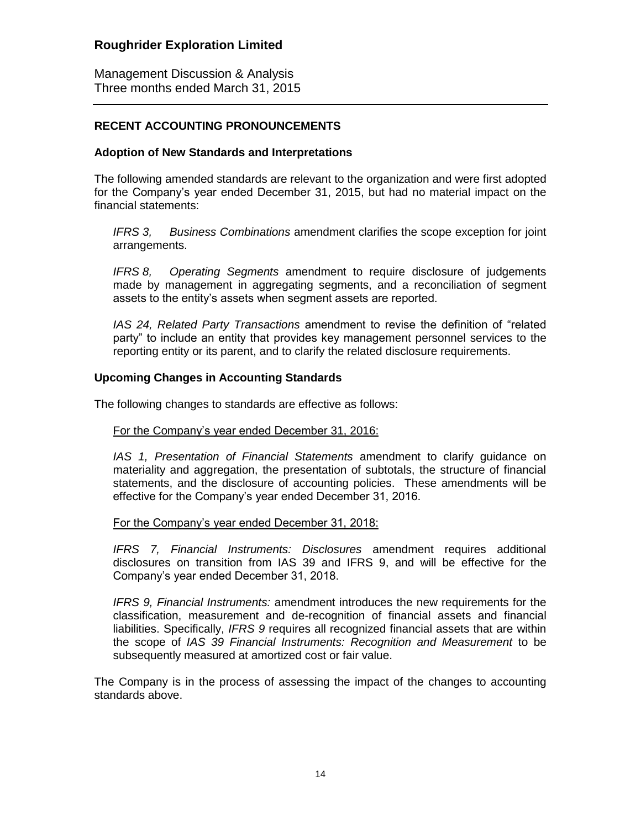Management Discussion & Analysis Three months ended March 31, 2015

#### **RECENT ACCOUNTING PRONOUNCEMENTS**

#### **Adoption of New Standards and Interpretations**

The following amended standards are relevant to the organization and were first adopted for the Company's year ended December 31, 2015, but had no material impact on the financial statements:

*IFRS 3, Business Combinations* amendment clarifies the scope exception for joint arrangements.

*IFRS 8, Operating Segments* amendment to require disclosure of judgements made by management in aggregating segments, and a reconciliation of segment assets to the entity's assets when segment assets are reported.

*IAS 24, Related Party Transactions* amendment to revise the definition of "related party" to include an entity that provides key management personnel services to the reporting entity or its parent, and to clarify the related disclosure requirements.

#### **Upcoming Changes in Accounting Standards**

The following changes to standards are effective as follows:

#### For the Company's year ended December 31, 2016:

*IAS 1, Presentation of Financial Statements* amendment to clarify guidance on materiality and aggregation, the presentation of subtotals, the structure of financial statements, and the disclosure of accounting policies. These amendments will be effective for the Company's year ended December 31, 2016.

#### For the Company's year ended December 31, 2018:

*IFRS 7, Financial Instruments: Disclosures* amendment requires additional disclosures on transition from IAS 39 and IFRS 9, and will be effective for the Company's year ended December 31, 2018.

*IFRS 9, Financial Instruments:* amendment introduces the new requirements for the classification, measurement and de-recognition of financial assets and financial liabilities. Specifically, *IFRS 9* requires all recognized financial assets that are within the scope of *IAS 39 Financial Instruments: Recognition and Measurement* to be subsequently measured at amortized cost or fair value.

The Company is in the process of assessing the impact of the changes to accounting standards above.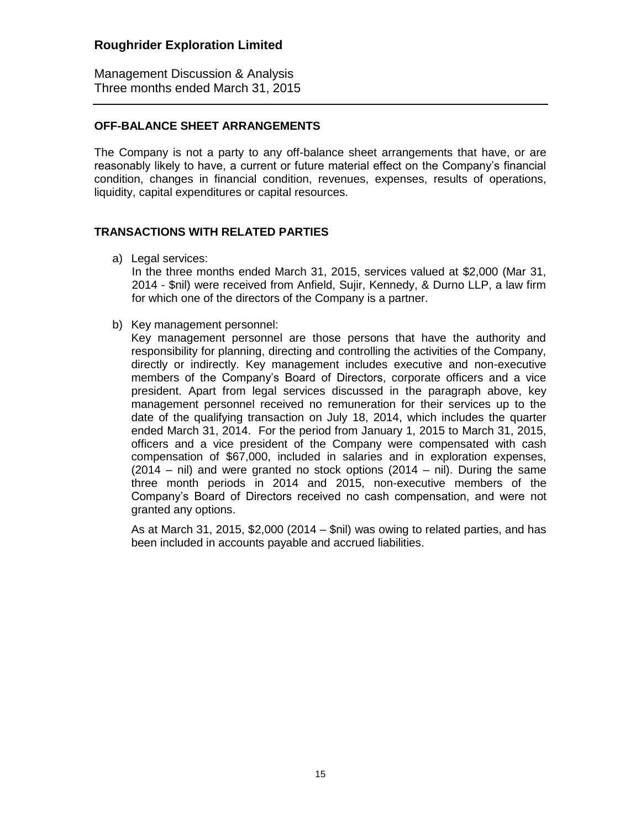Management Discussion & Analysis Three months ended March 31, 2015

#### **OFF-BALANCE SHEET ARRANGEMENTS**

The Company is not a party to any off-balance sheet arrangements that have, or are reasonably likely to have, a current or future material effect on the Company's financial condition, changes in financial condition, revenues, expenses, results of operations, liquidity, capital expenditures or capital resources.

### **TRANSACTIONS WITH RELATED PARTIES**

a) Legal services:

In the three months ended March 31, 2015, services valued at \$2,000 (Mar 31, 2014 - \$nil) were received from Anfield, Sujir, Kennedy, & Durno LLP, a law firm for which one of the directors of the Company is a partner.

b) Key management personnel:

Key management personnel are those persons that have the authority and responsibility for planning, directing and controlling the activities of the Company, directly or indirectly. Key management includes executive and non-executive members of the Company's Board of Directors, corporate officers and a vice president. Apart from legal services discussed in the paragraph above, key management personnel received no remuneration for their services up to the date of the qualifying transaction on July 18, 2014, which includes the quarter ended March 31, 2014. For the period from January 1, 2015 to March 31, 2015, officers and a vice president of the Company were compensated with cash compensation of \$67,000, included in salaries and in exploration expenses,  $(2014 - \text{nil})$  and were granted no stock options  $(2014 - \text{nil})$ . During the same three month periods in 2014 and 2015, non-executive members of the Company's Board of Directors received no cash compensation, and were not granted any options.

As at March 31, 2015, \$2,000 (2014 – \$nil) was owing to related parties, and has been included in accounts payable and accrued liabilities.